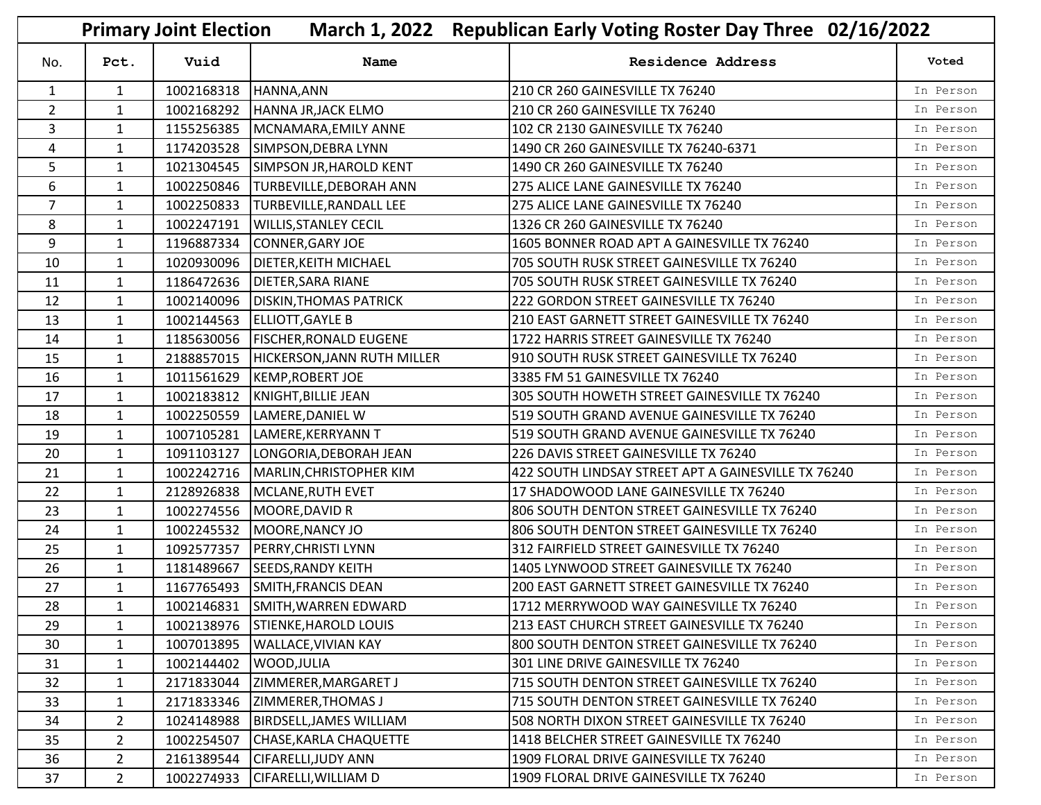|                | March 1, 2022 Republican Early Voting Roster Day Three 02/16/2022<br><b>Primary Joint Election</b> |            |                                          |                                                     |           |
|----------------|----------------------------------------------------------------------------------------------------|------------|------------------------------------------|-----------------------------------------------------|-----------|
| No.            | Pct.                                                                                               | Vuid       | Name                                     | <b>Residence Address</b>                            | Voted     |
| $\mathbf{1}$   | $\mathbf{1}$                                                                                       | 1002168318 | HANNA, ANN                               | 210 CR 260 GAINESVILLE TX 76240                     | In Person |
| $\overline{2}$ | $\mathbf{1}$                                                                                       | 1002168292 | HANNA JR, JACK ELMO                      | 210 CR 260 GAINESVILLE TX 76240                     | In Person |
| 3              | $\mathbf{1}$                                                                                       | 1155256385 | MCNAMARA, EMILY ANNE                     | 102 CR 2130 GAINESVILLE TX 76240                    | In Person |
| 4              | $\mathbf{1}$                                                                                       | 1174203528 | SIMPSON, DEBRA LYNN                      | 1490 CR 260 GAINESVILLE TX 76240-6371               | In Person |
| 5              | $\mathbf{1}$                                                                                       | 1021304545 | <b>SIMPSON JR, HAROLD KENT</b>           | 1490 CR 260 GAINESVILLE TX 76240                    | In Person |
| 6              | $\mathbf{1}$                                                                                       | 1002250846 | <b>TURBEVILLE, DEBORAH ANN</b>           | 275 ALICE LANE GAINESVILLE TX 76240                 | In Person |
| $\overline{7}$ | $\mathbf{1}$                                                                                       | 1002250833 | <b>TURBEVILLE, RANDALL LEE</b>           | 275 ALICE LANE GAINESVILLE TX 76240                 | In Person |
| 8              | $\mathbf{1}$                                                                                       | 1002247191 | <b>WILLIS, STANLEY CECIL</b>             | 1326 CR 260 GAINESVILLE TX 76240                    | In Person |
| 9              | $\mathbf{1}$                                                                                       | 1196887334 | CONNER, GARY JOE                         | 1605 BONNER ROAD APT A GAINESVILLE TX 76240         | In Person |
| 10             | $\mathbf{1}$                                                                                       | 1020930096 | <b>DIETER, KEITH MICHAEL</b>             | 705 SOUTH RUSK STREET GAINESVILLE TX 76240          | In Person |
| 11             | $\mathbf{1}$                                                                                       | 1186472636 | <b>DIETER, SARA RIANE</b>                | 705 SOUTH RUSK STREET GAINESVILLE TX 76240          | In Person |
| 12             | $\mathbf{1}$                                                                                       | 1002140096 | <b>DISKIN, THOMAS PATRICK</b>            | 222 GORDON STREET GAINESVILLE TX 76240              | In Person |
| 13             | $\mathbf{1}$                                                                                       | 1002144563 | ELLIOTT, GAYLE B                         | 210 EAST GARNETT STREET GAINESVILLE TX 76240        | In Person |
| 14             | $\mathbf{1}$                                                                                       |            | 1185630056   FISCHER, RONALD EUGENE      | 1722 HARRIS STREET GAINESVILLE TX 76240             | In Person |
| 15             | $\mathbf{1}$                                                                                       |            | 2188857015   HICKERSON, JANN RUTH MILLER | 910 SOUTH RUSK STREET GAINESVILLE TX 76240          | In Person |
| 16             | $\mathbf{1}$                                                                                       | 1011561629 | KEMP, ROBERT JOE                         | 3385 FM 51 GAINESVILLE TX 76240                     | In Person |
| 17             | $\mathbf{1}$                                                                                       | 1002183812 | KNIGHT, BILLIE JEAN                      | 305 SOUTH HOWETH STREET GAINESVILLE TX 76240        | In Person |
| 18             | $\mathbf{1}$                                                                                       | 1002250559 | LAMERE, DANIEL W                         | 519 SOUTH GRAND AVENUE GAINESVILLE TX 76240         | In Person |
| 19             | $\mathbf{1}$                                                                                       | 1007105281 | LAMERE, KERRYANN T                       | 519 SOUTH GRAND AVENUE GAINESVILLE TX 76240         | In Person |
| 20             | $\mathbf{1}$                                                                                       | 1091103127 | LONGORIA, DEBORAH JEAN                   | 226 DAVIS STREET GAINESVILLE TX 76240               | In Person |
| 21             | $\mathbf{1}$                                                                                       | 1002242716 | MARLIN, CHRISTOPHER KIM                  | 422 SOUTH LINDSAY STREET APT A GAINESVILLE TX 76240 | In Person |
| 22             | $\mathbf{1}$                                                                                       | 2128926838 | MCLANE, RUTH EVET                        | 17 SHADOWOOD LANE GAINESVILLE TX 76240              | In Person |
| 23             | $\mathbf{1}$                                                                                       |            | 1002274556   MOORE, DAVID R              | 806 SOUTH DENTON STREET GAINESVILLE TX 76240        | In Person |
| 24             | $\mathbf{1}$                                                                                       | 1002245532 | MOORE, NANCY JO                          | 806 SOUTH DENTON STREET GAINESVILLE TX 76240        | In Person |
| 25             | $\mathbf{1}$                                                                                       | 1092577357 | PERRY, CHRISTI LYNN                      | 312 FAIRFIELD STREET GAINESVILLE TX 76240           | In Person |
| 26             | $\mathbf{1}$                                                                                       | 1181489667 | <b>SEEDS, RANDY KEITH</b>                | 1405 LYNWOOD STREET GAINESVILLE TX 76240            | In Person |
| 27             | $\mathbf{1}$                                                                                       |            | 1167765493 SMITH, FRANCIS DEAN           | 200 EAST GARNETT STREET GAINESVILLE TX 76240        | In Person |
| 28             | $\mathbf{1}$                                                                                       |            | 1002146831 SMITH, WARREN EDWARD          | 1712 MERRYWOOD WAY GAINESVILLE TX 76240             | In Person |
| 29             | $\mathbf{1}$                                                                                       |            | 1002138976 STIENKE, HAROLD LOUIS         | 213 EAST CHURCH STREET GAINESVILLE TX 76240         | In Person |
| 30             | $\mathbf{1}$                                                                                       | 1007013895 | <b>WALLACE, VIVIAN KAY</b>               | 800 SOUTH DENTON STREET GAINESVILLE TX 76240        | In Person |
| 31             | 1                                                                                                  | 1002144402 | WOOD, JULIA                              | 301 LINE DRIVE GAINESVILLE TX 76240                 | In Person |
| 32             | $\mathbf{1}$                                                                                       | 2171833044 | ZIMMERER, MARGARET J                     | 715 SOUTH DENTON STREET GAINESVILLE TX 76240        | In Person |
| 33             | $\mathbf{1}$                                                                                       | 2171833346 | ZIMMERER, THOMAS J                       | 715 SOUTH DENTON STREET GAINESVILLE TX 76240        | In Person |
| 34             | $2^{\circ}$                                                                                        | 1024148988 | <b>BIRDSELL, JAMES WILLIAM</b>           | 508 NORTH DIXON STREET GAINESVILLE TX 76240         | In Person |
| 35             | 2 <sup>1</sup>                                                                                     | 1002254507 | CHASE, KARLA CHAQUETTE                   | 1418 BELCHER STREET GAINESVILLE TX 76240            | In Person |
| 36             | $\overline{2}$                                                                                     | 2161389544 | <b>CIFARELLI, JUDY ANN</b>               | 1909 FLORAL DRIVE GAINESVILLE TX 76240              | In Person |
| 37             | 2 <sup>1</sup>                                                                                     | 1002274933 | CIFARELLI, WILLIAM D                     | 1909 FLORAL DRIVE GAINESVILLE TX 76240              | In Person |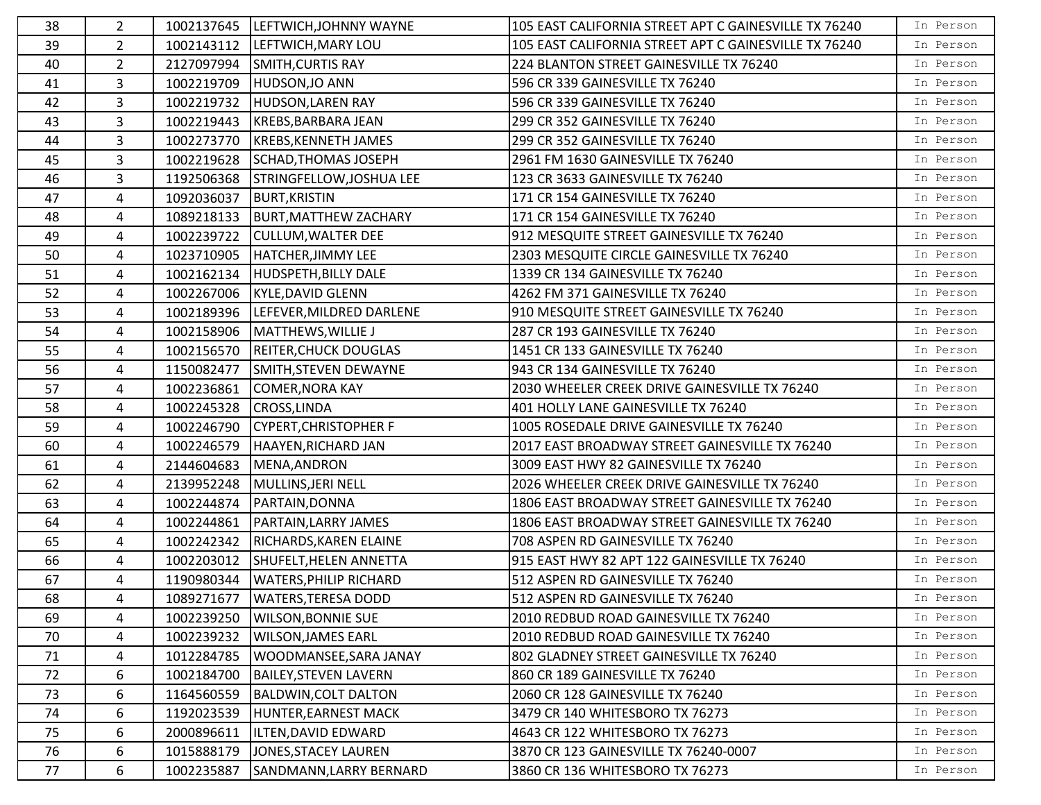| 38 | $\overline{2}$ |            | 1002137645  LEFTWICH, JOHNNY WAYNE | 105 EAST CALIFORNIA STREET APT C GAINESVILLE TX 76240 | In Person |
|----|----------------|------------|------------------------------------|-------------------------------------------------------|-----------|
| 39 | $\overline{2}$ |            | 1002143112  LEFTWICH, MARY LOU     | 105 EAST CALIFORNIA STREET APT C GAINESVILLE TX 76240 | In Person |
| 40 | $\overline{2}$ | 2127097994 | SMITH, CURTIS RAY                  | 224 BLANTON STREET GAINESVILLE TX 76240               | In Person |
| 41 | 3              | 1002219709 | HUDSON, JO ANN                     | 596 CR 339 GAINESVILLE TX 76240                       | In Person |
| 42 | 3              | 1002219732 | HUDSON, LAREN RAY                  | 596 CR 339 GAINESVILLE TX 76240                       | In Person |
| 43 | 3              |            | 1002219443  KREBS, BARBARA JEAN    | 299 CR 352 GAINESVILLE TX 76240                       | In Person |
| 44 | 3              | 1002273770 | KREBS, KENNETH JAMES               | 299 CR 352 GAINESVILLE TX 76240                       | In Person |
| 45 | 3              | 1002219628 | SCHAD, THOMAS JOSEPH               | 2961 FM 1630 GAINESVILLE TX 76240                     | In Person |
| 46 | 3              | 1192506368 | STRINGFELLOW, JOSHUA LEE           | 123 CR 3633 GAINESVILLE TX 76240                      | In Person |
| 47 | 4              | 1092036037 | <b>BURT, KRISTIN</b>               | 171 CR 154 GAINESVILLE TX 76240                       | In Person |
| 48 | 4              |            | 1089218133  BURT, MATTHEW ZACHARY  | 171 CR 154 GAINESVILLE TX 76240                       | In Person |
| 49 | 4              | 1002239722 | <b>CULLUM, WALTER DEE</b>          | 912 MESQUITE STREET GAINESVILLE TX 76240              | In Person |
| 50 | 4              | 1023710905 | HATCHER, JIMMY LEE                 | 2303 MESQUITE CIRCLE GAINESVILLE TX 76240             | In Person |
| 51 | 4              | 1002162134 | HUDSPETH, BILLY DALE               | 1339 CR 134 GAINESVILLE TX 76240                      | In Person |
| 52 | 4              | 1002267006 | KYLE, DAVID GLENN                  | 4262 FM 371 GAINESVILLE TX 76240                      | In Person |
| 53 | 4              | 1002189396 | LEFEVER, MILDRED DARLENE           | 910 MESQUITE STREET GAINESVILLE TX 76240              | In Person |
| 54 | 4              | 1002158906 | MATTHEWS, WILLIE J                 | 287 CR 193 GAINESVILLE TX 76240                       | In Person |
| 55 | 4              | 1002156570 | <b>REITER, CHUCK DOUGLAS</b>       | 1451 CR 133 GAINESVILLE TX 76240                      | In Person |
| 56 | 4              | 1150082477 | SMITH, STEVEN DEWAYNE              | 943 CR 134 GAINESVILLE TX 76240                       | In Person |
| 57 | 4              | 1002236861 | <b>COMER, NORA KAY</b>             | 2030 WHEELER CREEK DRIVE GAINESVILLE TX 76240         | In Person |
| 58 | 4              | 1002245328 | CROSS, LINDA                       | 401 HOLLY LANE GAINESVILLE TX 76240                   | In Person |
| 59 | 4              | 1002246790 | CYPERT, CHRISTOPHER F              | 1005 ROSEDALE DRIVE GAINESVILLE TX 76240              | In Person |
| 60 | 4              | 1002246579 | HAAYEN, RICHARD JAN                | 2017 EAST BROADWAY STREET GAINESVILLE TX 76240        | In Person |
| 61 | 4              | 2144604683 | MENA, ANDRON                       | 3009 EAST HWY 82 GAINESVILLE TX 76240                 | In Person |
| 62 | 4              | 2139952248 | MULLINS, JERI NELL                 | 2026 WHEELER CREEK DRIVE GAINESVILLE TX 76240         | In Person |
| 63 | 4              | 1002244874 | PARTAIN, DONNA                     | 1806 EAST BROADWAY STREET GAINESVILLE TX 76240        | In Person |
| 64 | 4              | 1002244861 | <b>PARTAIN, LARRY JAMES</b>        | 1806 EAST BROADWAY STREET GAINESVILLE TX 76240        | In Person |
| 65 | 4              | 1002242342 | RICHARDS, KAREN ELAINE             | 708 ASPEN RD GAINESVILLE TX 76240                     | In Person |
| 66 | 4              | 1002203012 | SHUFELT, HELEN ANNETTA             | 915 EAST HWY 82 APT 122 GAINESVILLE TX 76240          | In Person |
| 67 | 4              | 1190980344 | <b>WATERS, PHILIP RICHARD</b>      | 512 ASPEN RD GAINESVILLE TX 76240                     | In Person |
| 68 | 4              |            | 1089271677   WATERS, TERESA DODD   | 512 ASPEN RD GAINESVILLE TX 76240                     | In Person |
| 69 | 4              | 1002239250 | <b>WILSON, BONNIE SUE</b>          | 2010 REDBUD ROAD GAINESVILLE TX 76240                 | In Person |
| 70 | 4              | 1002239232 | <b>WILSON, JAMES EARL</b>          | 2010 REDBUD ROAD GAINESVILLE TX 76240                 | In Person |
| 71 | 4              | 1012284785 | WOODMANSEE, SARA JANAY             | 802 GLADNEY STREET GAINESVILLE TX 76240               | In Person |
| 72 | 6              | 1002184700 | <b>BAILEY, STEVEN LAVERN</b>       | 860 CR 189 GAINESVILLE TX 76240                       | In Person |
| 73 | 6              | 1164560559 | BALDWIN, COLT DALTON               | 2060 CR 128 GAINESVILLE TX 76240                      | In Person |
| 74 | 6              | 1192023539 | HUNTER, EARNEST MACK               | 3479 CR 140 WHITESBORO TX 76273                       | In Person |
| 75 | 6              | 2000896611 | ILTEN, DAVID EDWARD                | 4643 CR 122 WHITESBORO TX 76273                       | In Person |
| 76 | 6              | 1015888179 | JONES, STACEY LAUREN               | 3870 CR 123 GAINESVILLE TX 76240-0007                 | In Person |
| 77 | 6              | 1002235887 | SANDMANN, LARRY BERNARD            | 3860 CR 136 WHITESBORO TX 76273                       | In Person |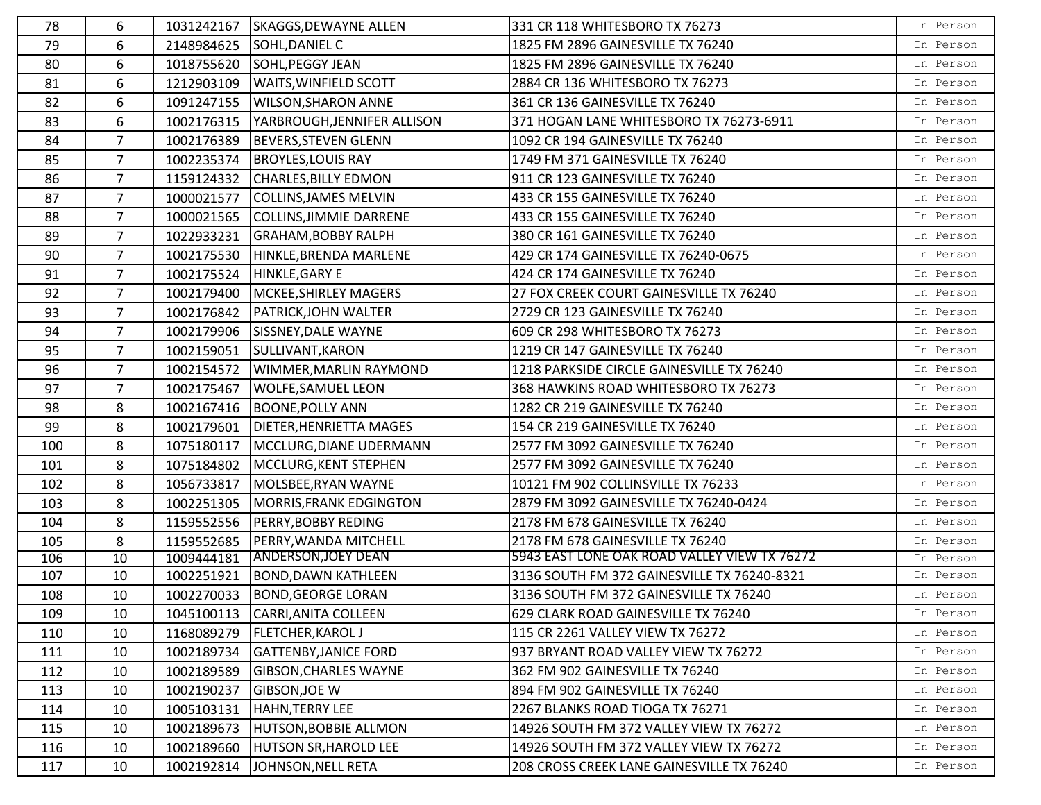| 78  | 6              | 1031242167 | <b>SKAGGS, DEWAYNE ALLEN</b>  | 331 CR 118 WHITESBORO TX 76273               | In Person |
|-----|----------------|------------|-------------------------------|----------------------------------------------|-----------|
| 79  | 6              | 2148984625 | SOHL, DANIEL C                | 1825 FM 2896 GAINESVILLE TX 76240            | In Person |
| 80  | 6              | 1018755620 | SOHL, PEGGY JEAN              | 1825 FM 2896 GAINESVILLE TX 76240            | In Person |
| 81  | 6              | 1212903109 | <b>WAITS, WINFIELD SCOTT</b>  | 2884 CR 136 WHITESBORO TX 76273              | In Person |
| 82  | 6              | 1091247155 | <b>WILSON, SHARON ANNE</b>    | 361 CR 136 GAINESVILLE TX 76240              | In Person |
| 83  | 6              | 1002176315 | YARBROUGH, JENNIFER ALLISON   | 371 HOGAN LANE WHITESBORO TX 76273-6911      | In Person |
| 84  | $\overline{7}$ | 1002176389 | <b>BEVERS, STEVEN GLENN</b>   | 1092 CR 194 GAINESVILLE TX 76240             | In Person |
| 85  | $\overline{7}$ | 1002235374 | <b>BROYLES, LOUIS RAY</b>     | 1749 FM 371 GAINESVILLE TX 76240             | In Person |
| 86  | $\overline{7}$ | 1159124332 | <b>CHARLES, BILLY EDMON</b>   | 911 CR 123 GAINESVILLE TX 76240              | In Person |
| 87  | $\overline{7}$ | 1000021577 | COLLINS, JAMES MELVIN         | 433 CR 155 GAINESVILLE TX 76240              | In Person |
| 88  | $\overline{7}$ | 1000021565 | COLLINS, JIMMIE DARRENE       | 433 CR 155 GAINESVILLE TX 76240              | In Person |
| 89  | 7              | 1022933231 | <b>GRAHAM, BOBBY RALPH</b>    | 380 CR 161 GAINESVILLE TX 76240              | In Person |
| 90  | 7              | 1002175530 | HINKLE, BRENDA MARLENE        | 429 CR 174 GAINESVILLE TX 76240-0675         | In Person |
| 91  | $\overline{7}$ | 1002175524 | HINKLE, GARY E                | 424 CR 174 GAINESVILLE TX 76240              | In Person |
| 92  | $\overline{7}$ | 1002179400 | MCKEE, SHIRLEY MAGERS         | 27 FOX CREEK COURT GAINESVILLE TX 76240      | In Person |
| 93  | $\overline{7}$ | 1002176842 | <b>PATRICK, JOHN WALTER</b>   | 2729 CR 123 GAINESVILLE TX 76240             | In Person |
| 94  | $\overline{7}$ | 1002179906 | SISSNEY, DALE WAYNE           | 609 CR 298 WHITESBORO TX 76273               | In Person |
| 95  | $\overline{7}$ | 1002159051 | SULLIVANT, KARON              | 1219 CR 147 GAINESVILLE TX 76240             | In Person |
| 96  | $\overline{7}$ | 1002154572 | WIMMER, MARLIN RAYMOND        | 1218 PARKSIDE CIRCLE GAINESVILLE TX 76240    | In Person |
| 97  | 7              | 1002175467 | <b>WOLFE, SAMUEL LEON</b>     | 368 HAWKINS ROAD WHITESBORO TX 76273         | In Person |
| 98  | 8              | 1002167416 | <b>BOONE, POLLY ANN</b>       | 1282 CR 219 GAINESVILLE TX 76240             | In Person |
| 99  | 8              | 1002179601 | DIETER, HENRIETTA MAGES       | 154 CR 219 GAINESVILLE TX 76240              | In Person |
| 100 | 8              | 1075180117 | MCCLURG, DIANE UDERMANN       | 2577 FM 3092 GAINESVILLE TX 76240            | In Person |
| 101 | 8              | 1075184802 | MCCLURG, KENT STEPHEN         | 2577 FM 3092 GAINESVILLE TX 76240            | In Person |
| 102 | 8              | 1056733817 | MOLSBEE, RYAN WAYNE           | 10121 FM 902 COLLINSVILLE TX 76233           | In Person |
| 103 | 8              | 1002251305 | MORRIS, FRANK EDGINGTON       | 2879 FM 3092 GAINESVILLE TX 76240-0424       | In Person |
| 104 | 8              | 1159552556 | <b>PERRY, BOBBY REDING</b>    | 2178 FM 678 GAINESVILLE TX 76240             | In Person |
| 105 | 8              | 1159552685 | PERRY, WANDA MITCHELL         | 2178 FM 678 GAINESVILLE TX 76240             | In Person |
| 106 | 10             | 1009444181 | <b>ANDERSON, JOEY DEAN</b>    | 5943 EAST LONE OAK ROAD VALLEY VIEW TX 76272 | In Person |
| 107 | 10             | 1002251921 | <b>BOND, DAWN KATHLEEN</b>    | 3136 SOUTH FM 372 GAINESVILLE TX 76240-8321  | In Person |
| 108 | 10             |            | 1002270033 BOND, GEORGE LORAN | 3136 SOUTH FM 372 GAINESVILLE TX 76240       | In Person |
| 109 | 10             | 1045100113 | CARRI, ANITA COLLEEN          | 629 CLARK ROAD GAINESVILLE TX 76240          | In Person |
| 110 | 10             | 1168089279 | <b>FLETCHER, KAROL J</b>      | 115 CR 2261 VALLEY VIEW TX 76272             | In Person |
| 111 | 10             | 1002189734 | <b>GATTENBY, JANICE FORD</b>  | 937 BRYANT ROAD VALLEY VIEW TX 76272         | In Person |
| 112 | 10             | 1002189589 | <b>GIBSON, CHARLES WAYNE</b>  | 362 FM 902 GAINESVILLE TX 76240              | In Person |
| 113 | 10             | 1002190237 | <b>GIBSON, JOE W</b>          | 894 FM 902 GAINESVILLE TX 76240              | In Person |
| 114 | 10             | 1005103131 | <b>HAHN, TERRY LEE</b>        | 2267 BLANKS ROAD TIOGA TX 76271              | In Person |
| 115 | 10             | 1002189673 | <b>HUTSON, BOBBIE ALLMON</b>  | 14926 SOUTH FM 372 VALLEY VIEW TX 76272      | In Person |
| 116 | 10             | 1002189660 | <b>HUTSON SR, HAROLD LEE</b>  | 14926 SOUTH FM 372 VALLEY VIEW TX 76272      | In Person |
| 117 | 10             | 1002192814 | JOHNSON, NELL RETA            | 208 CROSS CREEK LANE GAINESVILLE TX 76240    | In Person |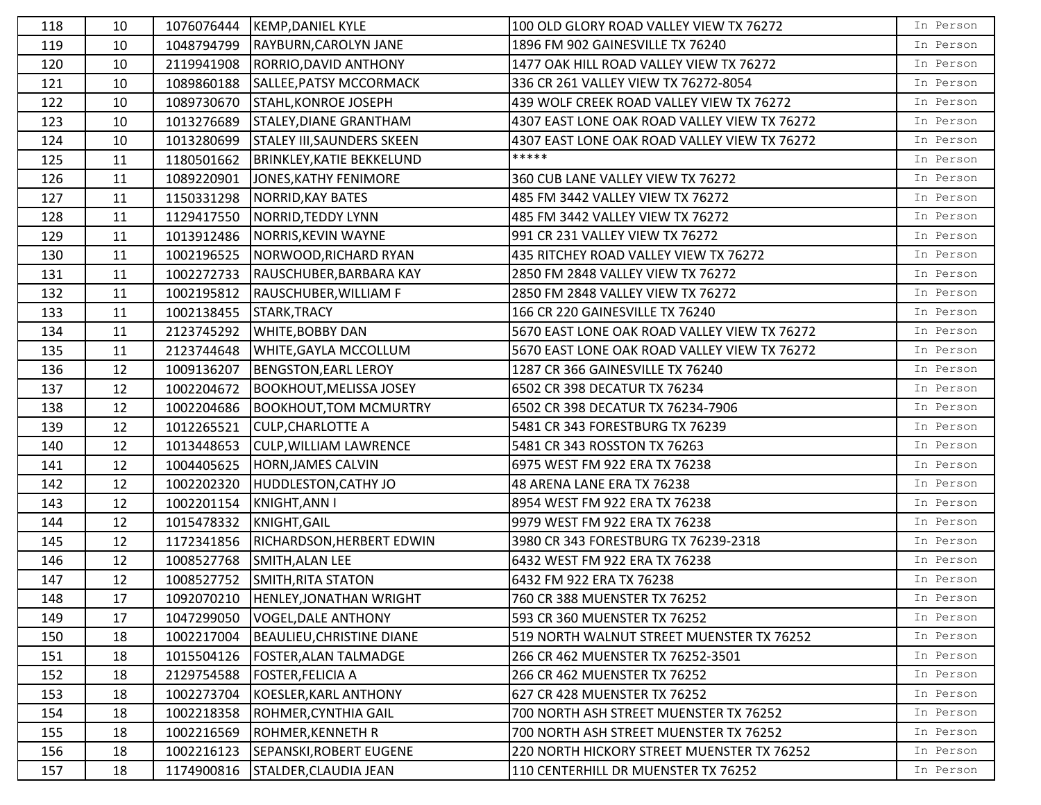| 118 | 10 |            | 1076076444  KEMP, DANIEL KYLE       | 100 OLD GLORY ROAD VALLEY VIEW TX 76272      | In Person |
|-----|----|------------|-------------------------------------|----------------------------------------------|-----------|
| 119 | 10 | 1048794799 | RAYBURN, CAROLYN JANE               | 1896 FM 902 GAINESVILLE TX 76240             | In Person |
| 120 | 10 | 2119941908 | RORRIO, DAVID ANTHONY               | 1477 OAK HILL ROAD VALLEY VIEW TX 76272      | In Person |
| 121 | 10 | 1089860188 | SALLEE, PATSY MCCORMACK             | 336 CR 261 VALLEY VIEW TX 76272-8054         | In Person |
| 122 | 10 | 1089730670 | STAHL, KONROE JOSEPH                | 439 WOLF CREEK ROAD VALLEY VIEW TX 76272     | In Person |
| 123 | 10 | 1013276689 | STALEY, DIANE GRANTHAM              | 4307 EAST LONE OAK ROAD VALLEY VIEW TX 76272 | In Person |
| 124 | 10 | 1013280699 | <b>STALEY III, SAUNDERS SKEEN</b>   | 4307 EAST LONE OAK ROAD VALLEY VIEW TX 76272 | In Person |
| 125 | 11 | 1180501662 | <b>BRINKLEY, KATIE BEKKELUND</b>    | *****                                        | In Person |
| 126 | 11 | 1089220901 | JONES, KATHY FENIMORE               | 360 CUB LANE VALLEY VIEW TX 76272            | In Person |
| 127 | 11 | 1150331298 | NORRID, KAY BATES                   | 485 FM 3442 VALLEY VIEW TX 76272             | In Person |
| 128 | 11 | 1129417550 | NORRID, TEDDY LYNN                  | 485 FM 3442 VALLEY VIEW TX 76272             | In Person |
| 129 | 11 | 1013912486 | NORRIS, KEVIN WAYNE                 | 991 CR 231 VALLEY VIEW TX 76272              | In Person |
| 130 | 11 | 1002196525 | NORWOOD, RICHARD RYAN               | 435 RITCHEY ROAD VALLEY VIEW TX 76272        | In Person |
| 131 | 11 | 1002272733 | RAUSCHUBER, BARBARA KAY             | 2850 FM 2848 VALLEY VIEW TX 76272            | In Person |
| 132 | 11 | 1002195812 | RAUSCHUBER, WILLIAM F               | 2850 FM 2848 VALLEY VIEW TX 76272            | In Person |
| 133 | 11 | 1002138455 | STARK, TRACY                        | 166 CR 220 GAINESVILLE TX 76240              | In Person |
| 134 | 11 | 2123745292 | <b>WHITE, BOBBY DAN</b>             | 5670 EAST LONE OAK ROAD VALLEY VIEW TX 76272 | In Person |
| 135 | 11 | 2123744648 | <b>WHITE, GAYLA MCCOLLUM</b>        | 5670 EAST LONE OAK ROAD VALLEY VIEW TX 76272 | In Person |
| 136 | 12 | 1009136207 | <b>BENGSTON, EARL LEROY</b>         | 1287 CR 366 GAINESVILLE TX 76240             | In Person |
| 137 | 12 | 1002204672 | <b>BOOKHOUT, MELISSA JOSEY</b>      | 6502 CR 398 DECATUR TX 76234                 | In Person |
| 138 | 12 | 1002204686 | <b>BOOKHOUT, TOM MCMURTRY</b>       | 6502 CR 398 DECATUR TX 76234-7906            | In Person |
| 139 | 12 | 1012265521 | <b>CULP, CHARLOTTE A</b>            | 5481 CR 343 FORESTBURG TX 76239              | In Person |
| 140 | 12 | 1013448653 | <b>CULP, WILLIAM LAWRENCE</b>       | 5481 CR 343 ROSSTON TX 76263                 | In Person |
| 141 | 12 | 1004405625 | <b>HORN, JAMES CALVIN</b>           | 6975 WEST FM 922 ERA TX 76238                | In Person |
| 142 | 12 | 1002202320 | <b>HUDDLESTON, CATHY JO</b>         | 48 ARENA LANE ERA TX 76238                   | In Person |
| 143 | 12 | 1002201154 | KNIGHT, ANN I                       | 8954 WEST FM 922 ERA TX 76238                | In Person |
| 144 | 12 | 1015478332 | KNIGHT, GAIL                        | 9979 WEST FM 922 ERA TX 76238                | In Person |
| 145 | 12 | 1172341856 | RICHARDSON, HERBERT EDWIN           | 3980 CR 343 FORESTBURG TX 76239-2318         | In Person |
| 146 | 12 | 1008527768 | SMITH, ALAN LEE                     | 6432 WEST FM 922 ERA TX 76238                | In Person |
| 147 | 12 | 1008527752 | SMITH, RITA STATON                  | 6432 FM 922 ERA TX 76238                     | In Person |
| 148 | 17 |            | 1092070210  HENLEY, JONATHAN WRIGHT | 760 CR 388 MUENSTER TX 76252                 | In Person |
| 149 | 17 | 1047299050 | VOGEL, DALE ANTHONY                 | 593 CR 360 MUENSTER TX 76252                 | In Person |
| 150 | 18 | 1002217004 | <b>BEAULIEU, CHRISTINE DIANE</b>    | 519 NORTH WALNUT STREET MUENSTER TX 76252    | In Person |
| 151 | 18 | 1015504126 | <b>FOSTER, ALAN TALMADGE</b>        | 266 CR 462 MUENSTER TX 76252-3501            | In Person |
| 152 | 18 | 2129754588 | <b>FOSTER, FELICIA A</b>            | 266 CR 462 MUENSTER TX 76252                 | In Person |
| 153 | 18 | 1002273704 | KOESLER, KARL ANTHONY               | 627 CR 428 MUENSTER TX 76252                 | In Person |
| 154 | 18 | 1002218358 | ROHMER, CYNTHIA GAIL                | 700 NORTH ASH STREET MUENSTER TX 76252       | In Person |
| 155 | 18 | 1002216569 | ROHMER, KENNETH R                   | 700 NORTH ASH STREET MUENSTER TX 76252       | In Person |
| 156 | 18 | 1002216123 | SEPANSKI, ROBERT EUGENE             | 220 NORTH HICKORY STREET MUENSTER TX 76252   | In Person |
| 157 | 18 | 1174900816 | STALDER, CLAUDIA JEAN               | 110 CENTERHILL DR MUENSTER TX 76252          | In Person |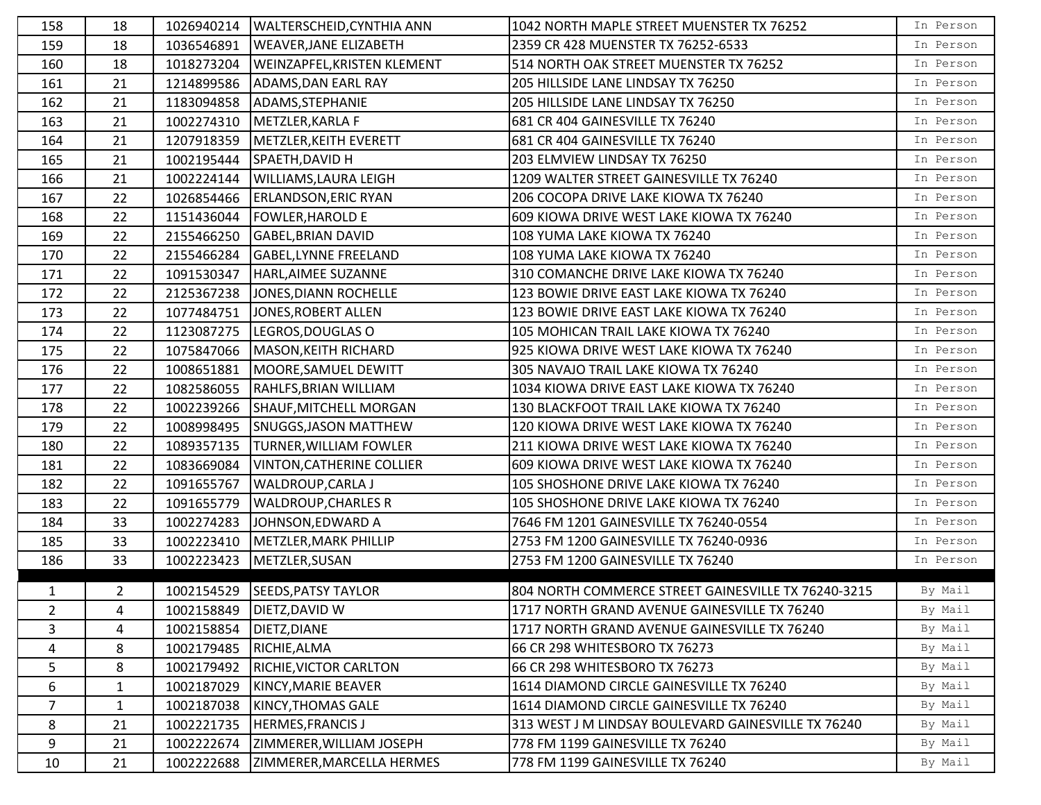| WALTERSCHEID, CYNTHIA ANN<br>1042 NORTH MAPLE STREET MUENSTER TX 76252<br>158<br>18<br>1026940214                                 | In Person |
|-----------------------------------------------------------------------------------------------------------------------------------|-----------|
| 159<br>18<br><b>WEAVER, JANE ELIZABETH</b><br>2359 CR 428 MUENSTER TX 76252-6533<br>1036546891                                    | In Person |
| 18<br>1018273204<br><b>WEINZAPFEL, KRISTEN KLEMENT</b><br>514 NORTH OAK STREET MUENSTER TX 76252<br>160                           | In Person |
| 21<br>1214899586<br>205 HILLSIDE LANE LINDSAY TX 76250<br>161<br>ADAMS, DAN EARL RAY                                              | In Person |
| ADAMS, STEPHANIE<br>205 HILLSIDE LANE LINDSAY TX 76250<br>162<br>21<br>1183094858                                                 | In Person |
| 163<br>21<br>681 CR 404 GAINESVILLE TX 76240<br>1002274310<br>METZLER, KARLA F                                                    | In Person |
| 164<br>21<br>1207918359<br>METZLER, KEITH EVERETT<br>681 CR 404 GAINESVILLE TX 76240                                              | In Person |
| 203 ELMVIEW LINDSAY TX 76250<br>21<br>1002195444<br>SPAETH, DAVID H<br>165                                                        | In Person |
| 21<br><b>WILLIAMS, LAURA LEIGH</b><br>1209 WALTER STREET GAINESVILLE TX 76240<br>166<br>1002224144                                | In Person |
| 22<br>167<br>1026854466<br><b>ERLANDSON, ERIC RYAN</b><br>206 COCOPA DRIVE LAKE KIOWA TX 76240                                    | In Person |
| 22<br>168<br>1151436044<br><b>FOWLER, HAROLD E</b><br>609 KIOWA DRIVE WEST LAKE KIOWA TX 76240                                    | In Person |
| 169<br>22<br>2155466250<br><b>GABEL, BRIAN DAVID</b><br>108 YUMA LAKE KIOWA TX 76240                                              | In Person |
| 22<br>2155466284<br>170<br><b>GABEL,LYNNE FREELAND</b><br>108 YUMA LAKE KIOWA TX 76240                                            | In Person |
| 22<br>1091530347<br>HARL, AIMEE SUZANNE<br>310 COMANCHE DRIVE LAKE KIOWA TX 76240<br>171                                          | In Person |
| 172<br>22<br>2125367238<br>JONES, DIANN ROCHELLE<br>123 BOWIE DRIVE EAST LAKE KIOWA TX 76240                                      | In Person |
| 123 BOWIE DRIVE EAST LAKE KIOWA TX 76240<br>22<br>1077484751<br>JONES, ROBERT ALLEN<br>173                                        | In Person |
| 22<br>174<br>1123087275<br>LEGROS, DOUGLAS O<br>105 MOHICAN TRAIL LAKE KIOWA TX 76240                                             | In Person |
| 22<br>1075847066<br>MASON, KEITH RICHARD<br>925 KIOWA DRIVE WEST LAKE KIOWA TX 76240<br>175                                       | In Person |
| 22<br>305 NAVAJO TRAIL LAKE KIOWA TX 76240<br>176<br>1008651881<br>MOORE, SAMUEL DEWITT                                           | In Person |
| 1034 KIOWA DRIVE EAST LAKE KIOWA TX 76240<br>22<br>RAHLFS, BRIAN WILLIAM<br>177<br>1082586055                                     | In Person |
| 22<br>1002239266<br>130 BLACKFOOT TRAIL LAKE KIOWA TX 76240<br>178<br>SHAUF, MITCHELL MORGAN                                      | In Person |
| 22<br>179<br>1008998495<br>SNUGGS, JASON MATTHEW<br>120 KIOWA DRIVE WEST LAKE KIOWA TX 76240                                      | In Person |
| 22<br>1089357135<br><b>TURNER, WILLIAM FOWLER</b><br>211 KIOWA DRIVE WEST LAKE KIOWA TX 76240<br>180                              | In Person |
| 181<br>22<br>1083669084<br><b>VINTON, CATHERINE COLLIER</b><br>609 KIOWA DRIVE WEST LAKE KIOWA TX 76240                           | In Person |
| 182<br>22<br>1091655767<br><b>WALDROUP, CARLA J</b><br>105 SHOSHONE DRIVE LAKE KIOWA TX 76240                                     | In Person |
| 183<br>22<br>1091655779<br><b>WALDROUP, CHARLES R</b><br>105 SHOSHONE DRIVE LAKE KIOWA TX 76240                                   | In Person |
| 33<br>7646 FM 1201 GAINESVILLE TX 76240-0554<br>1002274283<br>JOHNSON, EDWARD A<br>184                                            | In Person |
| 33<br>1002223410<br>METZLER, MARK PHILLIP<br>2753 FM 1200 GAINESVILLE TX 76240-0936<br>185                                        | In Person |
| 33<br>1002223423<br>METZLER, SUSAN<br>186<br>2753 FM 1200 GAINESVILLE TX 76240                                                    | In Person |
| $\overline{2}$<br>1002154529<br><b>SEEDS, PATSY TAYLOR</b><br>$\mathbf{1}$<br>804 NORTH COMMERCE STREET GAINESVILLE TX 76240-3215 | By Mail   |
| 2<br>4<br>1002158849   DIETZ, DAVID W<br>1717 NORTH GRAND AVENUE GAINESVILLE TX 76240                                             | By Mail   |
| 3<br>1002158854<br>DIETZ, DIANE<br>4<br>1717 NORTH GRAND AVENUE GAINESVILLE TX 76240                                              | By Mail   |
| 8<br>4<br>1002179485<br>RICHIE, ALMA<br>66 CR 298 WHITESBORO TX 76273                                                             | By Mail   |
| 8<br>1002179492<br>RICHIE, VICTOR CARLTON<br>66 CR 298 WHITESBORO TX 76273<br>5                                                   | By Mail   |
| 6<br>1002187029<br>$\mathbf{1}$<br>KINCY, MARIE BEAVER<br>1614 DIAMOND CIRCLE GAINESVILLE TX 76240                                | By Mail   |
| $\overline{7}$<br>1002187038<br>$\mathbf{1}$<br>KINCY, THOMAS GALE<br>1614 DIAMOND CIRCLE GAINESVILLE TX 76240                    | By Mail   |
| 8<br>21<br>1002221735<br><b>HERMES, FRANCIS J</b><br>313 WEST J M LINDSAY BOULEVARD GAINESVILLE TX 76240                          | By Mail   |
| ZIMMERER, WILLIAM JOSEPH<br>778 FM 1199 GAINESVILLE TX 76240<br>9<br>21<br>1002222674                                             | By Mail   |
| 21<br>10<br>1002222688<br>778 FM 1199 GAINESVILLE TX 76240<br>ZIMMERER, MARCELLA HERMES                                           | By Mail   |